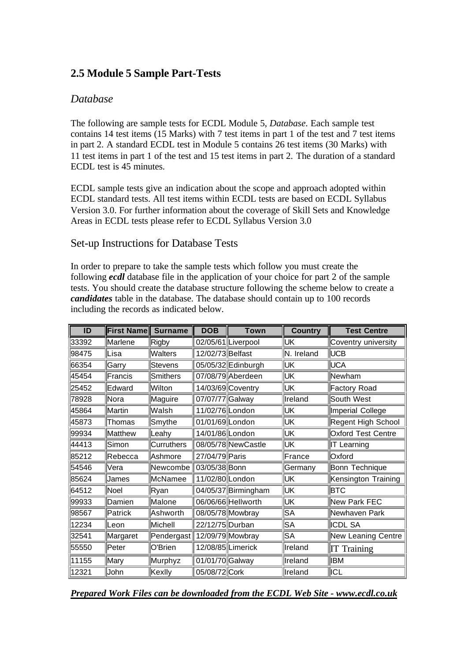# **2.5 Module 5 Sample Part-Tests**

# *Database*

The following are sample tests for ECDL Module 5, *Database*. Each sample test contains 14 test items (15 Marks) with 7 test items in part 1 of the test and 7 test items in part 2. A standard ECDL test in Module 5 contains 26 test items (30 Marks) with 11 test items in part 1 of the test and 15 test items in part 2. The duration of a standard ECDL test is 45 minutes.

ECDL sample tests give an indication about the scope and approach adopted within ECDL standard tests. All test items within ECDL tests are based on ECDL Syllabus Version 3.0. For further information about the coverage of Skill Sets and Knowledge Areas in ECDL tests please refer to ECDL Syllabus Version 3.0

# Set-up Instructions for Database Tests

In order to prepare to take the sample tests which follow you must create the following *ecdl* database file in the application of your choice for part 2 of the sample tests. You should create the database structure following the scheme below to create a *candidates* table in the database. The database should contain up to 100 records including the records as indicated below.

| ID    | <b>First Name</b> | <b>Surname</b> | <b>DOB</b>       | <b>Town</b>         | <b>Country</b> | <b>Test Centre</b>        |
|-------|-------------------|----------------|------------------|---------------------|----------------|---------------------------|
| 33392 | Marlene           | Rigby          |                  | 02/05/61 Liverpool  | UΚ             | Coventry university       |
| 98475 | ∥Lisa             | <b>Walters</b> | 12/02/73 Belfast |                     | N. Ireland     | UCB                       |
| 66354 | Garry             | Stevens        |                  | 05/05/32 Edinburgh  | UΚ             | <b>UCA</b>                |
| 45454 | Francis           | Smithers       |                  | 07/08/79 Aberdeen   | IJΚ            | Newham                    |
| 25452 | Edward            | Wilton         |                  | 14/03/69 Coventry   | UΚ             | Factory Road              |
| 78928 | Nora              | Maguire        | 07/07/77 Galway  |                     | Ireland        | South West                |
| 45864 | Martin            | Walsh          | 11/02/76 London  |                     | UΚ             | Imperial College          |
| 45873 | ∥Thomas           | Smythe         | 01/01/69 London  |                     | UΚ             | Regent High School        |
| 99934 | <b>Matthew</b>    | Leahy          | 14/01/86 London  |                     | IJΚ            | <b>Oxford Test Centre</b> |
| 44413 | Simon             | Curruthers     |                  | 08/05/78 New Castle | IJΚ            | IT Learning               |
| 85212 | Rebecca           | Ashmore        | 27/04/79 Paris   |                     | France         | Oxford                    |
| 54546 | Vera              | Newcombe       | 03/05/38 Bonn    |                     | Germany        | Bonn Technique            |
| 85624 | <b>James</b>      | McNamee        | 11/02/80 London  |                     | UΚ             | Kensington Training       |
| 64512 | ∥Noel             | Ryan           |                  | 04/05/37 Birmingham | IJΚ            | <b>BTC</b>                |
| 99933 | Damien            | Malone         |                  | 06/06/66 Hellworth  | UΚ             | New Park FEC              |
| 98567 | Patrick           | Ashworth       |                  | 08/05/78 Mowbray    | SA             | Newhaven Park             |
| 12234 | ⊩eon              | Michell        | 22/12/75 Durban  |                     | SA             | <b>ICDL SA</b>            |
| 32541 | Margaret          | Pendergast     |                  | 12/09/79 Mowbray    | SА             | <b>New Leaning Centre</b> |
| 55550 | Peter             | O'Brien        |                  | 12/08/85 Limerick   | Ireland        | <b>IT Training</b>        |
| 11155 | Mary              | Murphyz        | 01/01/70 Galway  |                     | Ireland        | <b>IBM</b>                |
| 12321 | <b>John</b>       | Kexlly         | 05/08/72 Cork    |                     | Ireland        | ∥ICL                      |

*Prepared Work Files can be downloaded from the ECDL Web Site - www.ecdl.co.uk*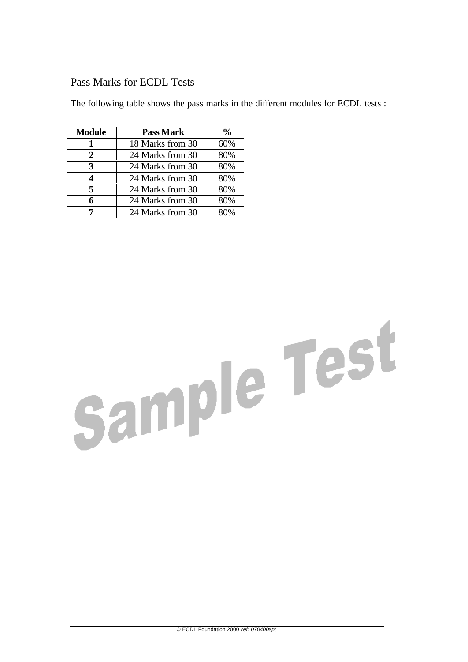# Pass Marks for ECDL Tests

The following table shows the pass marks in the different modules for ECDL tests :

| <b>Module</b> | <b>Pass Mark</b> | %   |
|---------------|------------------|-----|
|               | 18 Marks from 30 | 60% |
| 2             | 24 Marks from 30 | 80% |
| 3             | 24 Marks from 30 | 80% |
|               | 24 Marks from 30 | 80% |
| 5             | 24 Marks from 30 | 80% |
| 6             | 24 Marks from 30 | 80% |
|               | 24 Marks from 30 |     |

# Sample Test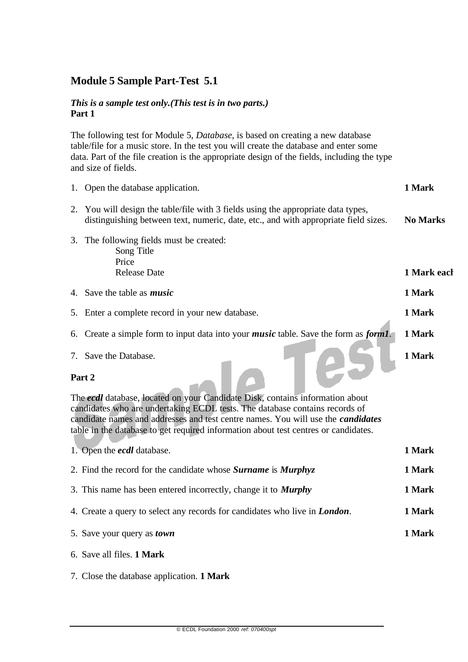# **Module 5 Sample Part-Test 5.1**

## *This is a sample test only.(This test is in two parts.)* **Part 1**

The following test for Module 5, *Database,* is based on creating a new database table/file for a music store. In the test you will create the database and enter some data. Part of the file creation is the appropriate design of the fields, including the type and size of fields.

|                                                                                                                                                                                                                                                                                                                                                          | 1. Open the database application.                                                                                                                                     |                 |  |
|----------------------------------------------------------------------------------------------------------------------------------------------------------------------------------------------------------------------------------------------------------------------------------------------------------------------------------------------------------|-----------------------------------------------------------------------------------------------------------------------------------------------------------------------|-----------------|--|
| 2.                                                                                                                                                                                                                                                                                                                                                       | You will design the table/file with 3 fields using the appropriate data types,<br>distinguishing between text, numeric, date, etc., and with appropriate field sizes. | <b>No Marks</b> |  |
| 3.                                                                                                                                                                                                                                                                                                                                                       | The following fields must be created:<br>Song Title<br>Price<br><b>Release Date</b>                                                                                   | 1 Mark each     |  |
|                                                                                                                                                                                                                                                                                                                                                          | 4. Save the table as <i>music</i>                                                                                                                                     | 1 Mark          |  |
|                                                                                                                                                                                                                                                                                                                                                          | 5. Enter a complete record in your new database.                                                                                                                      | 1 Mark          |  |
|                                                                                                                                                                                                                                                                                                                                                          | 6. Create a simple form to input data into your <i>music</i> table. Save the form as <i>form1</i> .                                                                   | 1 Mark          |  |
|                                                                                                                                                                                                                                                                                                                                                          | 7. Save the Database.                                                                                                                                                 | 1 Mark          |  |
| Part 2<br>The ecdl database, located on your Candidate Disk, contains information about<br>candidates who are undertaking ECDL tests. The database contains records of<br>candidate names and addresses and test centre names. You will use the <i>candidates</i><br>table in the database to get required information about test centres or candidates. |                                                                                                                                                                       |                 |  |
|                                                                                                                                                                                                                                                                                                                                                          | 1. Open the <i>ecal</i> database.                                                                                                                                     | 1 Mark          |  |
| 2. Find the record for the candidate whose <b>Surname</b> is <b>Murphyz</b>                                                                                                                                                                                                                                                                              |                                                                                                                                                                       |                 |  |
| 3. This name has been entered incorrectly, change it to <b>Murphy</b>                                                                                                                                                                                                                                                                                    |                                                                                                                                                                       |                 |  |

- 4. Create a query to select any records for candidates who live in *London*. **1 Mark**
- 5. Save your query as *town* **1 Mark**
	- 6. Save all files. **1 Mark**
	- 7. Close the database application. **1 Mark**